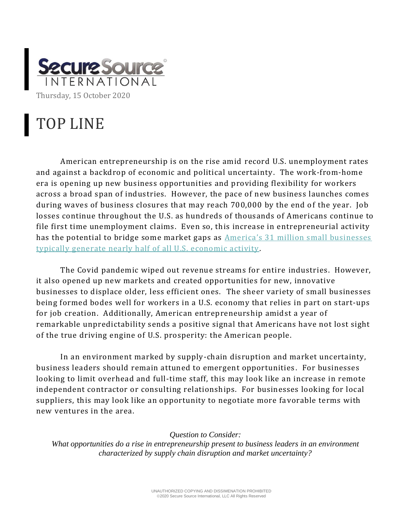

## TOP LINE

American entrepreneurship is on the rise amid record U.S. unemployment rates and against a backdrop of economic and political uncertainty. The work-from-home era is opening up new business opportunities and providing flexibility for workers across a broad span of industries. However, the pace of new business launches comes during waves of business closures that may reach 700,000 by the end of the year. Job losses continue throughout the U.S. as hundreds of thousands of Americans continue to file first time unemployment claims. Even so, this increase in entrepreneurial activity has the potential to bridge some market gaps as [America's 31 million small businesses](https://catalyst.independent.org/2020/10/11/american-entrepreneurship-roaring/)  [typically generate nearly half of all U.S. economic activity.](https://catalyst.independent.org/2020/10/11/american-entrepreneurship-roaring/)

The Covid pandemic wiped out revenue streams for entire industries. However, it also opened up new markets and created opportunities for new, innovative businesses to displace older, less efficient ones. The sheer variety of small businesses being formed bodes well for workers in a U.S. economy that relies in part on start-ups for job creation. Additionally, American entrepreneurship amidst a year of remarkable unpredictability sends a positive signal that Americans have not lost sight of the true driving engine of U.S. prosperity: the American people.

In an environment marked by supply-chain disruption and market uncertainty, business leaders should remain attuned to emergent opportunities . For businesses looking to limit overhead and full-time staff, this may look like an increase in remote independent contractor or consulting relationships. For businesses looking for local suppliers, this may look like an opportunity to negotiate more favorable terms with new ventures in the area.

## *Question to Consider:*

*What opportunities do a rise in entrepreneurship present to business leaders in an environment characterized by supply chain disruption and market uncertainty?*